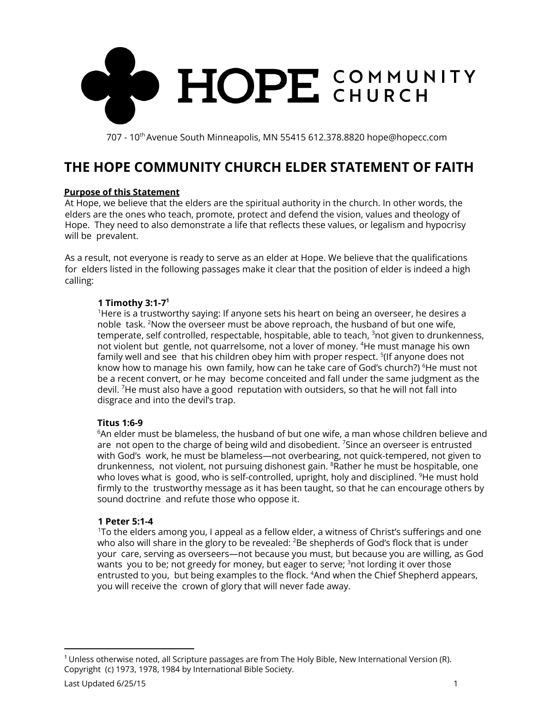

# **THE HOPE COMMUNITY CHURCH ELDER STATEMENT OF FAITH**

## **Purpose of this Statement**

At Hope, we believe that the elders are the spiritual authority in the church. In other words, the elders are the ones who teach, promote, protect and defend the vision, values and theology of Hope. They need to also demonstrate a life that reflects these values, or legalism and hypocrisy will be prevalent.

As a result, not everyone is ready to serve as an elder at Hope. We believe that the qualifications for elders listed in the following passages make it clear that the position of elder is indeed a high calling:

## **1 Timothy 3:1-7 1**

<sup>1</sup>Here is a trustworthy saying: If anyone sets his heart on being an overseer, he desires a noble task. <sup>2</sup>Now the overseer must be above reproach, the husband of but one wife, temperate, self controlled, respectable, hospitable, able to teach, <sup>3</sup>not given to drunkenness, not violent but gentle, not quarrelsome, not a lover of money. <sup>4</sup>He must manage his own family well and see that his children obey him with proper respect. <sup>5</sup>(If anyone does not know how to manage his own family, how can he take care of God's church?) <sup>6</sup>He must not be a recent convert, or he may become conceited and fall under the same judgment as the devil. <sup>7</sup>He must also have a good reputation with outsiders, so that he will not fall into disgrace and into the devil's trap.

## **Titus 1:6-9**

 $6$ An elder must be blameless, the husband of but one wife, a man whose children believe and are not open to the charge of being wild and disobedient.  $\frac{7}{5}$  since an overseer is entrusted with God's work, he must be blameless—not overbearing, not quick-tempered, not given to drunkenness, not violent, not pursuing dishonest gain. <sup>8</sup>Rather he must be hospitable, one who loves what is good, who is self-controlled, upright, holy and disciplined. <sup>9</sup>He must hold firmly to the trustworthy message as it has been taught, so that he can encourage others by sound doctrine and refute those who oppose it.

## **1 Peter 5:1-4**

<sup>1</sup>To the elders among you, I appeal as a fellow elder, a witness of Christ's sufferings and one who also will share in the glory to be revealed: <sup>2</sup>Be shepherds of God's flock that is under your care, serving as overseers—not because you must, but because you are willing, as God wants you to be; not greedy for money, but eager to serve; <sup>3</sup>not lording it over those entrusted to you, but being examples to the flock. <sup>4</sup>And when the Chief Shepherd appears, you will receive the crown of glory that will never fade away.

 $1$  Unless otherwise noted, all Scripture passages are from The Holy Bible, New International Version (R). Copyright (c) 1973, 1978, 1984 by International Bible Society.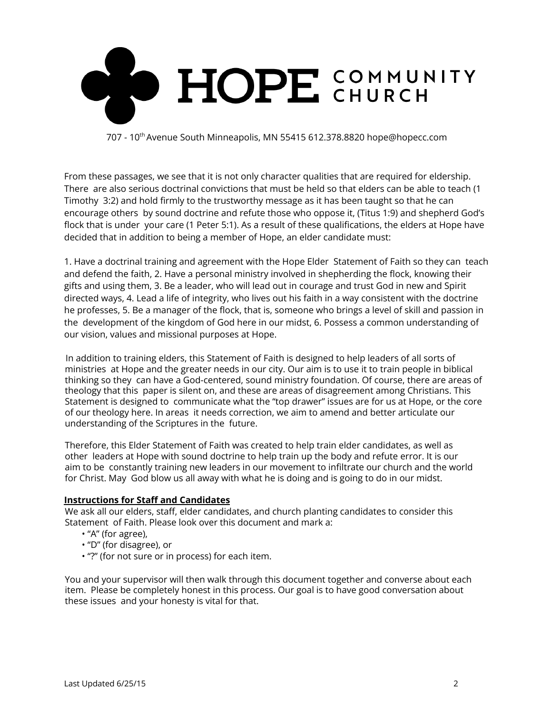

From these passages, we see that it is not only character qualities that are required for eldership. There are also serious doctrinal convictions that must be held so that elders can be able to teach (1 Timothy 3:2) and hold firmly to the trustworthy message as it has been taught so that he can encourage others by sound doctrine and refute those who oppose it, (Titus 1:9) and shepherd God's flock that is under your care (1 Peter 5:1). As a result of these qualifications, the elders at Hope have decided that in addition to being a member of Hope, an elder candidate must:

1. Have a doctrinal training and agreement with the Hope Elder Statement of Faith so they can teach and defend the faith, 2. Have a personal ministry involved in shepherding the flock, knowing their gifts and using them, 3. Be a leader, who will lead out in courage and trust God in new and Spirit directed ways, 4. Lead a life of integrity, who lives out his faith in a way consistent with the doctrine he professes, 5. Be a manager of the flock, that is, someone who brings a level of skill and passion in the development of the kingdom of God here in our midst, 6. Possess a common understanding of our vision, values and missional purposes at Hope.

In addition to training elders, this Statement of Faith is designed to help leaders of all sorts of ministries at Hope and the greater needs in our city. Our aim is to use it to train people in biblical thinking so they can have a God-centered, sound ministry foundation. Of course, there are areas of theology that this paper is silent on, and these are areas of disagreement among Christians. This Statement is designed to communicate what the "top drawer" issues are for us at Hope, or the core of our theology here. In areas it needs correction, we aim to amend and better articulate our understanding of the Scriptures in the future.

Therefore, this Elder Statement of Faith was created to help train elder candidates, as well as other leaders at Hope with sound doctrine to help train up the body and refute error. It is our aim to be constantly training new leaders in our movement to infiltrate our church and the world for Christ. May God blow us all away with what he is doing and is going to do in our midst.

## **Instructions for Staff and Candidates**

We ask all our elders, staff, elder candidates, and church planting candidates to consider this Statement of Faith. Please look over this document and mark a:

- "A" (for agree),
- "D" (for disagree), or
- "?" (for not sure or in process) for each item.

You and your supervisor will then walk through this document together and converse about each item. Please be completely honest in this process. Our goal is to have good conversation about these issues and your honesty is vital for that.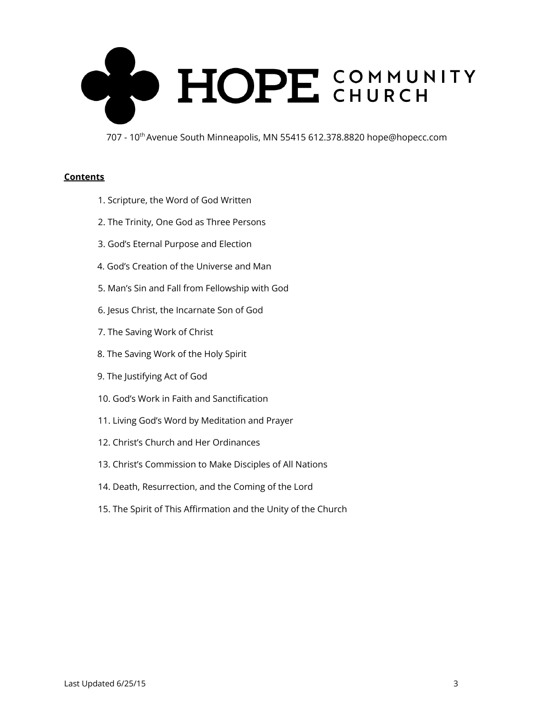

#### **Contents**

- 1. Scripture, the Word of God Written
- 2. The Trinity, One God as Three Persons
- 3. God's Eternal Purpose and Election
- 4. God's Creation of the Universe and Man
- 5. Man's Sin and Fall from Fellowship with God
- 6. Jesus Christ, the Incarnate Son of God
- 7. The Saving Work of Christ
- 8. The Saving Work of the Holy Spirit
- 9. The Justifying Act of God
- 10. God's Work in Faith and Sanctification
- 11. Living God's Word by Meditation and Prayer
- 12. Christ's Church and Her Ordinances
- 13. Christ's Commission to Make Disciples of All Nations
- 14. Death, Resurrection, and the Coming of the Lord
- 15. The Spirit of This Affirmation and the Unity of the Church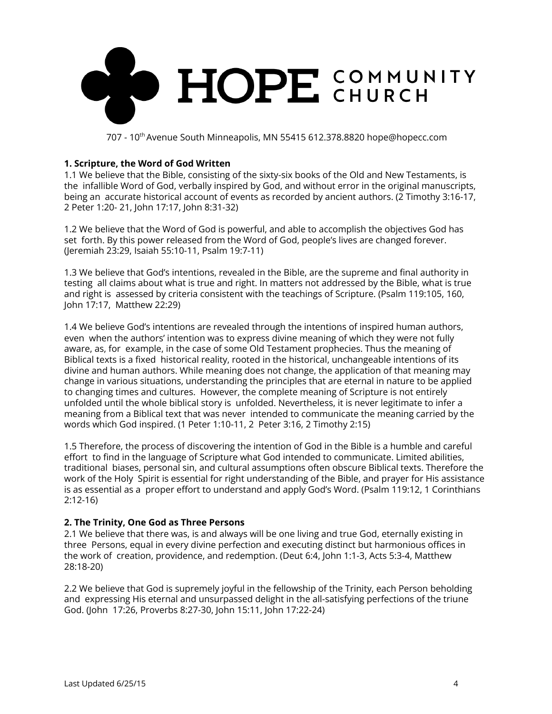

## **1. Scripture, the Word of God Written**

1.1 We believe that the Bible, consisting of the sixty-six books of the Old and New Testaments, is the infallible Word of God, verbally inspired by God, and without error in the original manuscripts, being an accurate historical account of events as recorded by ancient authors. (2 Timothy 3:16-17, 2 Peter 1:20- 21, John 17:17, John 8:31-32)

1.2 We believe that the Word of God is powerful, and able to accomplish the objectives God has set forth. By this power released from the Word of God, people's lives are changed forever. (Jeremiah 23:29, Isaiah 55:10-11, Psalm 19:7-11)

1.3 We believe that God's intentions, revealed in the Bible, are the supreme and final authority in testing all claims about what is true and right. In matters not addressed by the Bible, what is true and right is assessed by criteria consistent with the teachings of Scripture. (Psalm 119:105, 160, John 17:17, Matthew 22:29)

1.4 We believe God's intentions are revealed through the intentions of inspired human authors, even when the authors' intention was to express divine meaning of which they were not fully aware, as, for example, in the case of some Old Testament prophecies. Thus the meaning of Biblical texts is a fixed historical reality, rooted in the historical, unchangeable intentions of its divine and human authors. While meaning does not change, the application of that meaning may change in various situations, understanding the principles that are eternal in nature to be applied to changing times and cultures. However, the complete meaning of Scripture is not entirely unfolded until the whole biblical story is unfolded. Nevertheless, it is never legitimate to infer a meaning from a Biblical text that was never intended to communicate the meaning carried by the words which God inspired. (1 Peter 1:10-11, 2 Peter 3:16, 2 Timothy 2:15)

1.5 Therefore, the process of discovering the intention of God in the Bible is a humble and careful effort to find in the language of Scripture what God intended to communicate. Limited abilities, traditional biases, personal sin, and cultural assumptions often obscure Biblical texts. Therefore the work of the Holy Spirit is essential for right understanding of the Bible, and prayer for His assistance is as essential as a proper effort to understand and apply God's Word. (Psalm 119:12, 1 Corinthians 2:12-16)

## **2. The Trinity, One God as Three Persons**

2.1 We believe that there was, is and always will be one living and true God, eternally existing in three Persons, equal in every divine perfection and executing distinct but harmonious offices in the work of creation, providence, and redemption. (Deut 6:4, John 1:1-3, Acts 5:3-4, Matthew 28:18-20)

2.2 We believe that God is supremely joyful in the fellowship of the Trinity, each Person beholding and expressing His eternal and unsurpassed delight in the all-satisfying perfections of the triune God. (John 17:26, Proverbs 8:27-30, John 15:11, John 17:22-24)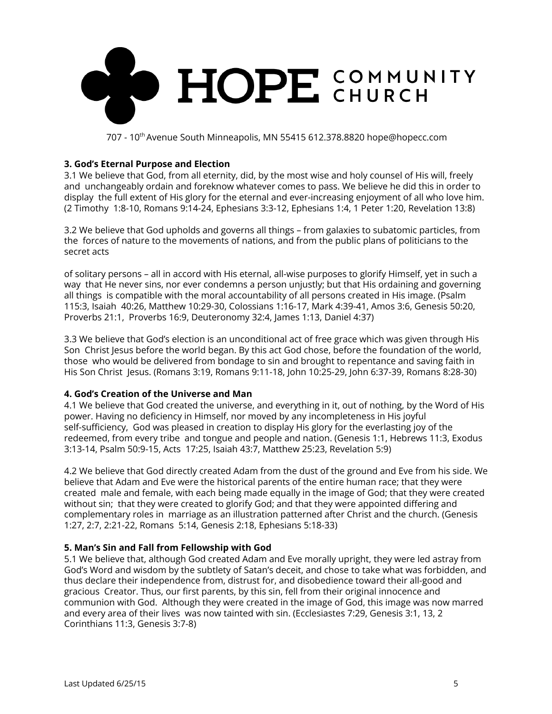

## **3. God's Eternal Purpose and Election**

3.1 We believe that God, from all eternity, did, by the most wise and holy counsel of His will, freely and unchangeably ordain and foreknow whatever comes to pass. We believe he did this in order to display the full extent of His glory for the eternal and ever-increasing enjoyment of all who love him. (2 Timothy 1:8-10, Romans 9:14-24, Ephesians 3:3-12, Ephesians 1:4, 1 Peter 1:20, Revelation 13:8)

3.2 We believe that God upholds and governs all things – from galaxies to subatomic particles, from the forces of nature to the movements of nations, and from the public plans of politicians to the secret acts

of solitary persons – all in accord with His eternal, all-wise purposes to glorify Himself, yet in such a way that He never sins, nor ever condemns a person unjustly; but that His ordaining and governing all things is compatible with the moral accountability of all persons created in His image. (Psalm 115:3, Isaiah 40:26, Matthew 10:29-30, Colossians 1:16-17, Mark 4:39-41, Amos 3:6, Genesis 50:20, Proverbs 21:1, Proverbs 16:9, Deuteronomy 32:4, James 1:13, Daniel 4:37)

3.3 We believe that God's election is an unconditional act of free grace which was given through His Son Christ Jesus before the world began. By this act God chose, before the foundation of the world, those who would be delivered from bondage to sin and brought to repentance and saving faith in His Son Christ Jesus. (Romans 3:19, Romans 9:11-18, John 10:25-29, John 6:37-39, Romans 8:28-30)

## **4. God's Creation of the Universe and Man**

4.1 We believe that God created the universe, and everything in it, out of nothing, by the Word of His power. Having no deficiency in Himself, nor moved by any incompleteness in His joyful self-sufficiency, God was pleased in creation to display His glory for the everlasting joy of the redeemed, from every tribe and tongue and people and nation. (Genesis 1:1, Hebrews 11:3, Exodus 3:13-14, Psalm 50:9-15, Acts 17:25, Isaiah 43:7, Matthew 25:23, Revelation 5:9)

4.2 We believe that God directly created Adam from the dust of the ground and Eve from his side. We believe that Adam and Eve were the historical parents of the entire human race; that they were created male and female, with each being made equally in the image of God; that they were created without sin; that they were created to glorify God; and that they were appointed differing and complementary roles in marriage as an illustration patterned after Christ and the church. (Genesis 1:27, 2:7, 2:21-22, Romans 5:14, Genesis 2:18, Ephesians 5:18-33)

## **5. Man's Sin and Fall from Fellowship with God**

5.1 We believe that, although God created Adam and Eve morally upright, they were led astray from God's Word and wisdom by the subtlety of Satan's deceit, and chose to take what was forbidden, and thus declare their independence from, distrust for, and disobedience toward their all-good and gracious Creator. Thus, our first parents, by this sin, fell from their original innocence and communion with God. Although they were created in the image of God, this image was now marred and every area of their lives was now tainted with sin. (Ecclesiastes 7:29, Genesis 3:1, 13, 2 Corinthians 11:3, Genesis 3:7-8)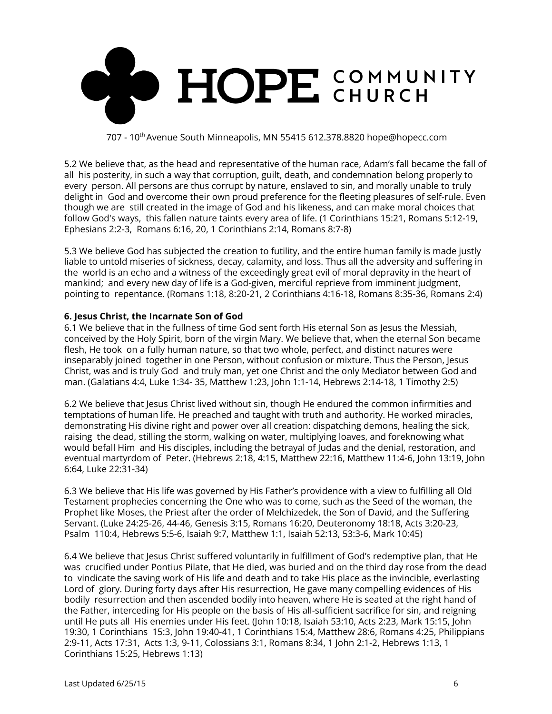

5.2 We believe that, as the head and representative of the human race, Adam's fall became the fall of all his posterity, in such a way that corruption, guilt, death, and condemnation belong properly to every person. All persons are thus corrupt by nature, enslaved to sin, and morally unable to truly delight in God and overcome their own proud preference for the fleeting pleasures of self-rule. Even though we are still created in the image of God and his likeness, and can make moral choices that follow God's ways, this fallen nature taints every area of life. (1 Corinthians 15:21, Romans 5:12-19, Ephesians 2:2-3, Romans 6:16, 20, 1 Corinthians 2:14, Romans 8:7-8)

5.3 We believe God has subjected the creation to futility, and the entire human family is made justly liable to untold miseries of sickness, decay, calamity, and loss. Thus all the adversity and suffering in the world is an echo and a witness of the exceedingly great evil of moral depravity in the heart of mankind; and every new day of life is a God-given, merciful reprieve from imminent judgment, pointing to repentance. (Romans 1:18, 8:20-21, 2 Corinthians 4:16-18, Romans 8:35-36, Romans 2:4)

## **6. Jesus Christ, the Incarnate Son of God**

6.1 We believe that in the fullness of time God sent forth His eternal Son as Jesus the Messiah, conceived by the Holy Spirit, born of the virgin Mary. We believe that, when the eternal Son became flesh, He took on a fully human nature, so that two whole, perfect, and distinct natures were inseparably joined together in one Person, without confusion or mixture. Thus the Person, Jesus Christ, was and is truly God and truly man, yet one Christ and the only Mediator between God and man. (Galatians 4:4, Luke 1:34- 35, Matthew 1:23, John 1:1-14, Hebrews 2:14-18, 1 Timothy 2:5)

6.2 We believe that Jesus Christ lived without sin, though He endured the common infirmities and temptations of human life. He preached and taught with truth and authority. He worked miracles, demonstrating His divine right and power over all creation: dispatching demons, healing the sick, raising the dead, stilling the storm, walking on water, multiplying loaves, and foreknowing what would befall Him and His disciples, including the betrayal of Judas and the denial, restoration, and eventual martyrdom of Peter. (Hebrews 2:18, 4:15, Matthew 22:16, Matthew 11:4-6, John 13:19, John 6:64, Luke 22:31-34)

6.3 We believe that His life was governed by His Father's providence with a view to fulfilling all Old Testament prophecies concerning the One who was to come, such as the Seed of the woman, the Prophet like Moses, the Priest after the order of Melchizedek, the Son of David, and the Suffering Servant. (Luke 24:25-26, 44-46, Genesis 3:15, Romans 16:20, Deuteronomy 18:18, Acts 3:20-23, Psalm 110:4, Hebrews 5:5-6, Isaiah 9:7, Matthew 1:1, Isaiah 52:13, 53:3-6, Mark 10:45)

6.4 We believe that Jesus Christ suffered voluntarily in fulfillment of God's redemptive plan, that He was crucified under Pontius Pilate, that He died, was buried and on the third day rose from the dead to vindicate the saving work of His life and death and to take His place as the invincible, everlasting Lord of glory. During forty days after His resurrection, He gave many compelling evidences of His bodily resurrection and then ascended bodily into heaven, where He is seated at the right hand of the Father, interceding for His people on the basis of His all-sufficient sacrifice for sin, and reigning until He puts all His enemies under His feet. (John 10:18, Isaiah 53:10, Acts 2:23, Mark 15:15, John 19:30, 1 Corinthians 15:3, John 19:40-41, 1 Corinthians 15:4, Matthew 28:6, Romans 4:25, Philippians 2:9-11, Acts 17:31, Acts 1:3, 9-11, Colossians 3:1, Romans 8:34, 1 John 2:1-2, Hebrews 1:13, 1 Corinthians 15:25, Hebrews 1:13)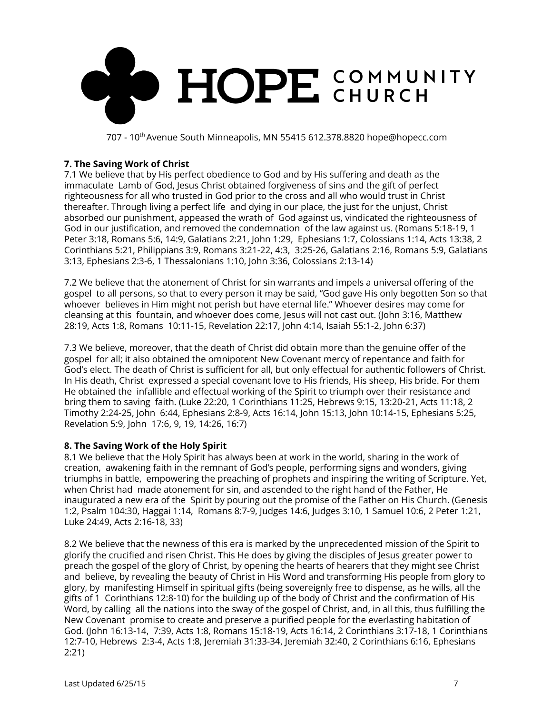

## **7. The Saving Work of Christ**

7.1 We believe that by His perfect obedience to God and by His suffering and death as the immaculate Lamb of God, Jesus Christ obtained forgiveness of sins and the gift of perfect righteousness for all who trusted in God prior to the cross and all who would trust in Christ thereafter. Through living a perfect life and dying in our place, the just for the unjust, Christ absorbed our punishment, appeased the wrath of God against us, vindicated the righteousness of God in our justification, and removed the condemnation of the law against us. (Romans 5:18-19, 1 Peter 3:18, Romans 5:6, 14:9, Galatians 2:21, John 1:29, Ephesians 1:7, Colossians 1:14, Acts 13:38, 2 Corinthians 5:21, Philippians 3:9, Romans 3:21-22, 4:3, 3:25-26, Galatians 2:16, Romans 5:9, Galatians 3:13, Ephesians 2:3-6, 1 Thessalonians 1:10, John 3:36, Colossians 2:13-14)

7.2 We believe that the atonement of Christ for sin warrants and impels a universal offering of the gospel to all persons, so that to every person it may be said, "God gave His only begotten Son so that whoever believes in Him might not perish but have eternal life." Whoever desires may come for cleansing at this fountain, and whoever does come, Jesus will not cast out. (John 3:16, Matthew 28:19, Acts 1:8, Romans 10:11-15, Revelation 22:17, John 4:14, Isaiah 55:1-2, John 6:37)

7.3 We believe, moreover, that the death of Christ did obtain more than the genuine offer of the gospel for all; it also obtained the omnipotent New Covenant mercy of repentance and faith for God's elect. The death of Christ is sufficient for all, but only effectual for authentic followers of Christ. In His death, Christ expressed a special covenant love to His friends, His sheep, His bride. For them He obtained the infallible and effectual working of the Spirit to triumph over their resistance and bring them to saving faith. (Luke 22:20, 1 Corinthians 11:25, Hebrews 9:15, 13:20-21, Acts 11:18, 2 Timothy 2:24-25, John 6:44, Ephesians 2:8-9, Acts 16:14, John 15:13, John 10:14-15, Ephesians 5:25, Revelation 5:9, John 17:6, 9, 19, 14:26, 16:7)

## **8. The Saving Work of the Holy Spirit**

8.1 We believe that the Holy Spirit has always been at work in the world, sharing in the work of creation, awakening faith in the remnant of God's people, performing signs and wonders, giving triumphs in battle, empowering the preaching of prophets and inspiring the writing of Scripture. Yet, when Christ had made atonement for sin, and ascended to the right hand of the Father, He inaugurated a new era of the Spirit by pouring out the promise of the Father on His Church. (Genesis 1:2, Psalm 104:30, Haggai 1:14, Romans 8:7-9, Judges 14:6, Judges 3:10, 1 Samuel 10:6, 2 Peter 1:21, Luke 24:49, Acts 2:16-18, 33)

8.2 We believe that the newness of this era is marked by the unprecedented mission of the Spirit to glorify the crucified and risen Christ. This He does by giving the disciples of Jesus greater power to preach the gospel of the glory of Christ, by opening the hearts of hearers that they might see Christ and believe, by revealing the beauty of Christ in His Word and transforming His people from glory to glory, by manifesting Himself in spiritual gifts (being sovereignly free to dispense, as he wills, all the gifts of 1 Corinthians 12:8-10) for the building up of the body of Christ and the confirmation of His Word, by calling all the nations into the sway of the gospel of Christ, and, in all this, thus fulfilling the New Covenant promise to create and preserve a purified people for the everlasting habitation of God. (John 16:13-14, 7:39, Acts 1:8, Romans 15:18-19, Acts 16:14, 2 Corinthians 3:17-18, 1 Corinthians 12:7-10, Hebrews 2:3-4, Acts 1:8, Jeremiah 31:33-34, Jeremiah 32:40, 2 Corinthians 6:16, Ephesians 2:21)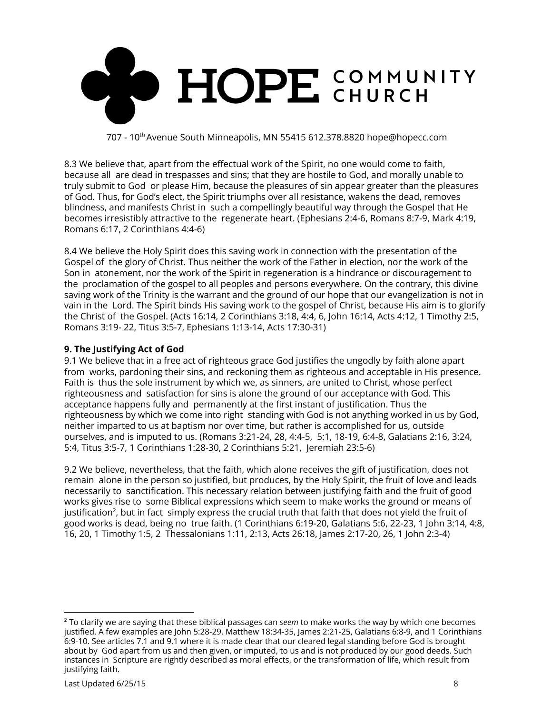

8.3 We believe that, apart from the effectual work of the Spirit, no one would come to faith, because all are dead in trespasses and sins; that they are hostile to God, and morally unable to truly submit to God or please Him, because the pleasures of sin appear greater than the pleasures of God. Thus, for God's elect, the Spirit triumphs over all resistance, wakens the dead, removes blindness, and manifests Christ in such a compellingly beautiful way through the Gospel that He becomes irresistibly attractive to the regenerate heart. (Ephesians 2:4-6, Romans 8:7-9, Mark 4:19, Romans 6:17, 2 Corinthians 4:4-6)

8.4 We believe the Holy Spirit does this saving work in connection with the presentation of the Gospel of the glory of Christ. Thus neither the work of the Father in election, nor the work of the Son in atonement, nor the work of the Spirit in regeneration is a hindrance or discouragement to the proclamation of the gospel to all peoples and persons everywhere. On the contrary, this divine saving work of the Trinity is the warrant and the ground of our hope that our evangelization is not in vain in the Lord. The Spirit binds His saving work to the gospel of Christ, because His aim is to glorify the Christ of the Gospel. (Acts 16:14, 2 Corinthians 3:18, 4:4, 6, John 16:14, Acts 4:12, 1 Timothy 2:5, Romans 3:19- 22, Titus 3:5-7, Ephesians 1:13-14, Acts 17:30-31)

## **9. The Justifying Act of God**

9.1 We believe that in a free act of righteous grace God justifies the ungodly by faith alone apart from works, pardoning their sins, and reckoning them as righteous and acceptable in His presence. Faith is thus the sole instrument by which we, as sinners, are united to Christ, whose perfect righteousness and satisfaction for sins is alone the ground of our acceptance with God. This acceptance happens fully and permanently at the first instant of justification. Thus the righteousness by which we come into right standing with God is not anything worked in us by God, neither imparted to us at baptism nor over time, but rather is accomplished for us, outside ourselves, and is imputed to us. (Romans 3:21-24, 28, 4:4-5, 5:1, 18-19, 6:4-8, Galatians 2:16, 3:24, 5:4, Titus 3:5-7, 1 Corinthians 1:28-30, 2 Corinthians 5:21, Jeremiah 23:5-6)

9.2 We believe, nevertheless, that the faith, which alone receives the gift of justification, does not remain alone in the person so justified, but produces, by the Holy Spirit, the fruit of love and leads necessarily to sanctification. This necessary relation between justifying faith and the fruit of good works gives rise to some Biblical expressions which seem to make works the ground or means of justification $^2$ , but in fact  $\,$  simply express the crucial truth that faith that does not yield the fruit of good works is dead, being no true faith. (1 Corinthians 6:19-20, Galatians 5:6, 22-23, 1 John 3:14, 4:8, 16, 20, 1 Timothy 1:5, 2 Thessalonians 1:11, 2:13, Acts 26:18, James 2:17-20, 26, 1 John 2:3-4)

<sup>2</sup> To clarify we are saying that these biblical passages can *seem* to make works the way by which one becomes justified. A few examples are John 5:28-29, Matthew 18:34-35, James 2:21-25, Galatians 6:8-9, and 1 Corinthians 6:9-10. See articles 7.1 and 9.1 where it is made clear that our cleared legal standing before God is brought about by God apart from us and then given, or imputed, to us and is not produced by our good deeds. Such instances in Scripture are rightly described as moral effects, or the transformation of life, which result from justifying faith.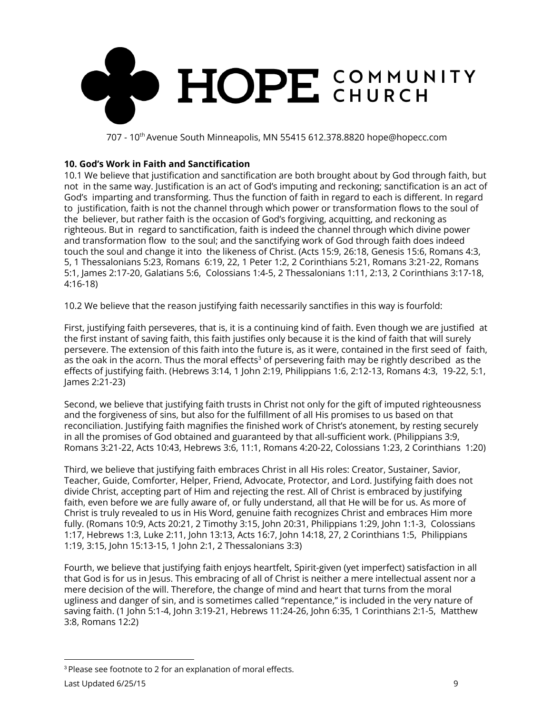

## **10. God's Work in Faith and Sanctification**

10.1 We believe that justification and sanctification are both brought about by God through faith, but not in the same way. Justification is an act of God's imputing and reckoning; sanctification is an act of God's imparting and transforming. Thus the function of faith in regard to each is different. In regard to justification, faith is not the channel through which power or transformation flows to the soul of the believer, but rather faith is the occasion of God's forgiving, acquitting, and reckoning as righteous. But in regard to sanctification, faith is indeed the channel through which divine power and transformation flow to the soul; and the sanctifying work of God through faith does indeed touch the soul and change it into the likeness of Christ. (Acts 15:9, 26:18, Genesis 15:6, Romans 4:3, 5, 1 Thessalonians 5:23, Romans 6:19, 22, 1 Peter 1:2, 2 Corinthians 5:21, Romans 3:21-22, Romans 5:1, James 2:17-20, Galatians 5:6, Colossians 1:4-5, 2 Thessalonians 1:11, 2:13, 2 Corinthians 3:17-18, 4:16-18)

10.2 We believe that the reason justifying faith necessarily sanctifies in this way is fourfold:

First, justifying faith perseveres, that is, it is a continuing kind of faith. Even though we are justified at the first instant of saving faith, this faith justifies only because it is the kind of faith that will surely persevere. The extension of this faith into the future is, as it were, contained in the first seed of faith, as the oak in the acorn. Thus the moral effects<sup>3</sup> of persevering faith may be rightly described as the effects of justifying faith. (Hebrews 3:14, 1 John 2:19, Philippians 1:6, 2:12-13, Romans 4:3, 19-22, 5:1, James 2:21-23)

Second, we believe that justifying faith trusts in Christ not only for the gift of imputed righteousness and the forgiveness of sins, but also for the fulfillment of all His promises to us based on that reconciliation. Justifying faith magnifies the finished work of Christ's atonement, by resting securely in all the promises of God obtained and guaranteed by that all-sufficient work. (Philippians 3:9, Romans 3:21-22, Acts 10:43, Hebrews 3:6, 11:1, Romans 4:20-22, Colossians 1:23, 2 Corinthians 1:20)

Third, we believe that justifying faith embraces Christ in all His roles: Creator, Sustainer, Savior, Teacher, Guide, Comforter, Helper, Friend, Advocate, Protector, and Lord. Justifying faith does not divide Christ, accepting part of Him and rejecting the rest. All of Christ is embraced by justifying faith, even before we are fully aware of, or fully understand, all that He will be for us. As more of Christ is truly revealed to us in His Word, genuine faith recognizes Christ and embraces Him more fully. (Romans 10:9, Acts 20:21, 2 Timothy 3:15, John 20:31, Philippians 1:29, John 1:1-3, Colossians 1:17, Hebrews 1:3, Luke 2:11, John 13:13, Acts 16:7, John 14:18, 27, 2 Corinthians 1:5, Philippians 1:19, 3:15, John 15:13-15, 1 John 2:1, 2 Thessalonians 3:3)

Fourth, we believe that justifying faith enjoys heartfelt, Spirit-given (yet imperfect) satisfaction in all that God is for us in Jesus. This embracing of all of Christ is neither a mere intellectual assent nor a mere decision of the will. Therefore, the change of mind and heart that turns from the moral ugliness and danger of sin, and is sometimes called "repentance," is included in the very nature of saving faith. (1 John 5:1-4, John 3:19-21, Hebrews 11:24-26, John 6:35, 1 Corinthians 2:1-5, Matthew 3:8, Romans 12:2)

<sup>&</sup>lt;sup>3</sup> Please see footnote to 2 for an explanation of moral effects.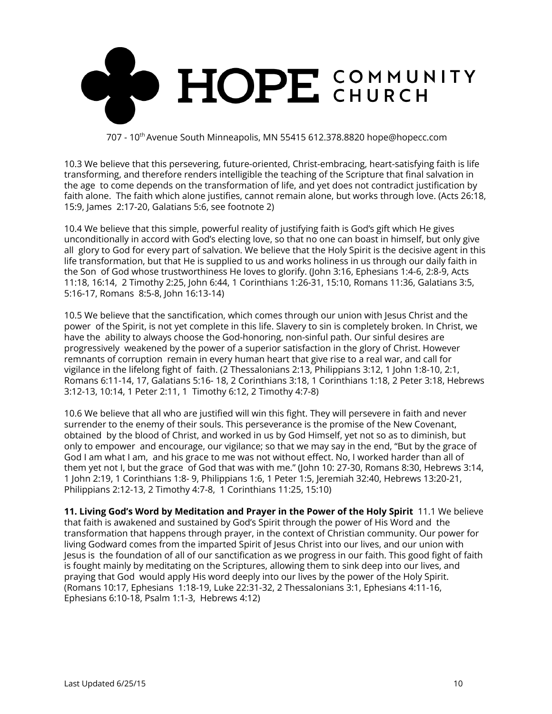

10.3 We believe that this persevering, future-oriented, Christ-embracing, heart-satisfying faith is life transforming, and therefore renders intelligible the teaching of the Scripture that final salvation in the age to come depends on the transformation of life, and yet does not contradict justification by faith alone. The faith which alone justifies, cannot remain alone, but works through love. (Acts 26:18, 15:9, James 2:17-20, Galatians 5:6, see footnote 2)

10.4 We believe that this simple, powerful reality of justifying faith is God's gift which He gives unconditionally in accord with God's electing love, so that no one can boast in himself, but only give all glory to God for every part of salvation. We believe that the Holy Spirit is the decisive agent in this life transformation, but that He is supplied to us and works holiness in us through our daily faith in the Son of God whose trustworthiness He loves to glorify. (John 3:16, Ephesians 1:4-6, 2:8-9, Acts 11:18, 16:14, 2 Timothy 2:25, John 6:44, 1 Corinthians 1:26-31, 15:10, Romans 11:36, Galatians 3:5, 5:16-17, Romans 8:5-8, John 16:13-14)

10.5 We believe that the sanctification, which comes through our union with Jesus Christ and the power of the Spirit, is not yet complete in this life. Slavery to sin is completely broken. In Christ, we have the ability to always choose the God-honoring, non-sinful path. Our sinful desires are progressively weakened by the power of a superior satisfaction in the glory of Christ. However remnants of corruption remain in every human heart that give rise to a real war, and call for vigilance in the lifelong fight of faith. (2 Thessalonians 2:13, Philippians 3:12, 1 John 1:8-10, 2:1, Romans 6:11-14, 17, Galatians 5:16- 18, 2 Corinthians 3:18, 1 Corinthians 1:18, 2 Peter 3:18, Hebrews 3:12-13, 10:14, 1 Peter 2:11, 1 Timothy 6:12, 2 Timothy 4:7-8)

10.6 We believe that all who are justified will win this fight. They will persevere in faith and never surrender to the enemy of their souls. This perseverance is the promise of the New Covenant, obtained by the blood of Christ, and worked in us by God Himself, yet not so as to diminish, but only to empower and encourage, our vigilance; so that we may say in the end, "But by the grace of God I am what I am, and his grace to me was not without effect. No, I worked harder than all of them yet not I, but the grace of God that was with me." (John 10: 27-30, Romans 8:30, Hebrews 3:14, 1 John 2:19, 1 Corinthians 1:8- 9, Philippians 1:6, 1 Peter 1:5, Jeremiah 32:40, Hebrews 13:20-21, Philippians 2:12-13, 2 Timothy 4:7-8, 1 Corinthians 11:25, 15:10)

**11. Living God's Word by Meditation and Prayer in the Power of the Holy Spirit** 11.1 We believe that faith is awakened and sustained by God's Spirit through the power of His Word and the transformation that happens through prayer, in the context of Christian community. Our power for living Godward comes from the imparted Spirit of Jesus Christ into our lives, and our union with Jesus is the foundation of all of our sanctification as we progress in our faith. This good fight of faith is fought mainly by meditating on the Scriptures, allowing them to sink deep into our lives, and praying that God would apply His word deeply into our lives by the power of the Holy Spirit. (Romans 10:17, Ephesians 1:18-19, Luke 22:31-32, 2 Thessalonians 3:1, Ephesians 4:11-16, Ephesians 6:10-18, Psalm 1:1-3, Hebrews 4:12)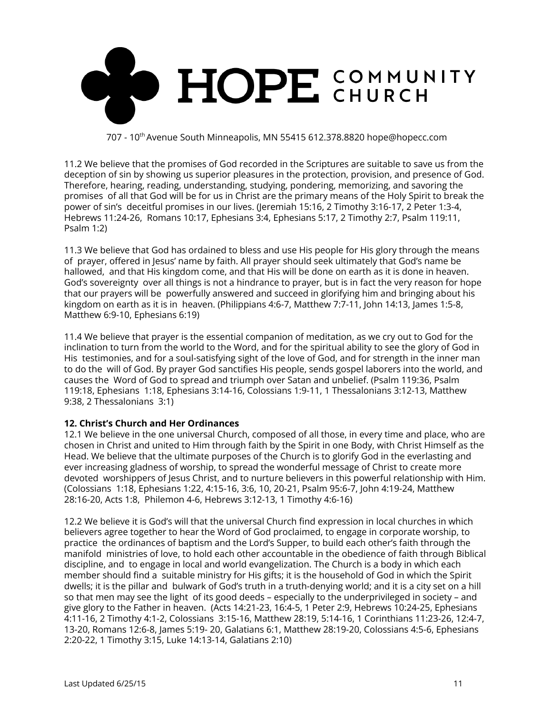

11.2 We believe that the promises of God recorded in the Scriptures are suitable to save us from the deception of sin by showing us superior pleasures in the protection, provision, and presence of God. Therefore, hearing, reading, understanding, studying, pondering, memorizing, and savoring the promises of all that God will be for us in Christ are the primary means of the Holy Spirit to break the power of sin's deceitful promises in our lives. (Jeremiah 15:16, 2 Timothy 3:16-17, 2 Peter 1:3-4, Hebrews 11:24-26, Romans 10:17, Ephesians 3:4, Ephesians 5:17, 2 Timothy 2:7, Psalm 119:11, Psalm 1:2)

11.3 We believe that God has ordained to bless and use His people for His glory through the means of prayer, offered in Jesus' name by faith. All prayer should seek ultimately that God's name be hallowed, and that His kingdom come, and that His will be done on earth as it is done in heaven. God's sovereignty over all things is not a hindrance to prayer, but is in fact the very reason for hope that our prayers will be powerfully answered and succeed in glorifying him and bringing about his kingdom on earth as it is in heaven. (Philippians 4:6-7, Matthew 7:7-11, John 14:13, James 1:5-8, Matthew 6:9-10, Ephesians 6:19)

11.4 We believe that prayer is the essential companion of meditation, as we cry out to God for the inclination to turn from the world to the Word, and for the spiritual ability to see the glory of God in His testimonies, and for a soul-satisfying sight of the love of God, and for strength in the inner man to do the will of God. By prayer God sanctifies His people, sends gospel laborers into the world, and causes the Word of God to spread and triumph over Satan and unbelief. (Psalm 119:36, Psalm 119:18, Ephesians 1:18, Ephesians 3:14-16, Colossians 1:9-11, 1 Thessalonians 3:12-13, Matthew 9:38, 2 Thessalonians 3:1)

# **12. Christ's Church and Her Ordinances**

12.1 We believe in the one universal Church, composed of all those, in every time and place, who are chosen in Christ and united to Him through faith by the Spirit in one Body, with Christ Himself as the Head. We believe that the ultimate purposes of the Church is to glorify God in the everlasting and ever increasing gladness of worship, to spread the wonderful message of Christ to create more devoted worshippers of Jesus Christ, and to nurture believers in this powerful relationship with Him. (Colossians 1:18, Ephesians 1:22, 4:15-16, 3:6, 10, 20-21, Psalm 95:6-7, John 4:19-24, Matthew 28:16-20, Acts 1:8, Philemon 4-6, Hebrews 3:12-13, 1 Timothy 4:6-16)

12.2 We believe it is God's will that the universal Church find expression in local churches in which believers agree together to hear the Word of God proclaimed, to engage in corporate worship, to practice the ordinances of baptism and the Lord's Supper, to build each other's faith through the manifold ministries of love, to hold each other accountable in the obedience of faith through Biblical discipline, and to engage in local and world evangelization. The Church is a body in which each member should find a suitable ministry for His gifts; it is the household of God in which the Spirit dwells; it is the pillar and bulwark of God's truth in a truth-denying world; and it is a city set on a hill so that men may see the light of its good deeds – especially to the underprivileged in society – and give glory to the Father in heaven. (Acts 14:21-23, 16:4-5, 1 Peter 2:9, Hebrews 10:24-25, Ephesians 4:11-16, 2 Timothy 4:1-2, Colossians 3:15-16, Matthew 28:19, 5:14-16, 1 Corinthians 11:23-26, 12:4-7, 13-20, Romans 12:6-8, James 5:19- 20, Galatians 6:1, Matthew 28:19-20, Colossians 4:5-6, Ephesians 2:20-22, 1 Timothy 3:15, Luke 14:13-14, Galatians 2:10)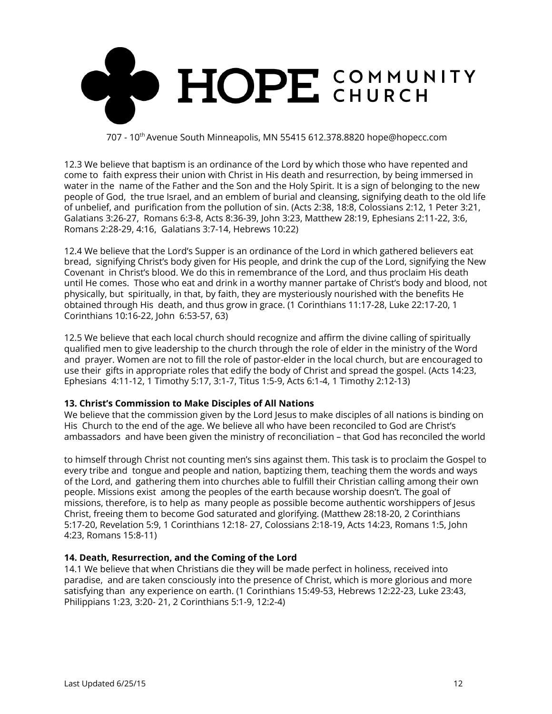

12.3 We believe that baptism is an ordinance of the Lord by which those who have repented and come to faith express their union with Christ in His death and resurrection, by being immersed in water in the name of the Father and the Son and the Holy Spirit. It is a sign of belonging to the new people of God, the true Israel, and an emblem of burial and cleansing, signifying death to the old life of unbelief, and purification from the pollution of sin. (Acts 2:38, 18:8, Colossians 2:12, 1 Peter 3:21, Galatians 3:26-27, Romans 6:3-8, Acts 8:36-39, John 3:23, Matthew 28:19, Ephesians 2:11-22, 3:6, Romans 2:28-29, 4:16, Galatians 3:7-14, Hebrews 10:22)

12.4 We believe that the Lord's Supper is an ordinance of the Lord in which gathered believers eat bread, signifying Christ's body given for His people, and drink the cup of the Lord, signifying the New Covenant in Christ's blood. We do this in remembrance of the Lord, and thus proclaim His death until He comes. Those who eat and drink in a worthy manner partake of Christ's body and blood, not physically, but spiritually, in that, by faith, they are mysteriously nourished with the benefits He obtained through His death, and thus grow in grace. (1 Corinthians 11:17-28, Luke 22:17-20, 1 Corinthians 10:16-22, John 6:53-57, 63)

12.5 We believe that each local church should recognize and affirm the divine calling of spiritually qualified men to give leadership to the church through the role of elder in the ministry of the Word and prayer. Women are not to fill the role of pastor-elder in the local church, but are encouraged to use their gifts in appropriate roles that edify the body of Christ and spread the gospel. (Acts 14:23, Ephesians 4:11-12, 1 Timothy 5:17, 3:1-7, Titus 1:5-9, Acts 6:1-4, 1 Timothy 2:12-13)

## **13. Christ's Commission to Make Disciples of All Nations**

We believe that the commission given by the Lord Jesus to make disciples of all nations is binding on His Church to the end of the age. We believe all who have been reconciled to God are Christ's ambassadors and have been given the ministry of reconciliation – that God has reconciled the world

to himself through Christ not counting men's sins against them. This task is to proclaim the Gospel to every tribe and tongue and people and nation, baptizing them, teaching them the words and ways of the Lord, and gathering them into churches able to fulfill their Christian calling among their own people. Missions exist among the peoples of the earth because worship doesn't. The goal of missions, therefore, is to help as many people as possible become authentic worshippers of Jesus Christ, freeing them to become God saturated and glorifying. (Matthew 28:18-20, 2 Corinthians 5:17-20, Revelation 5:9, 1 Corinthians 12:18- 27, Colossians 2:18-19, Acts 14:23, Romans 1:5, John 4:23, Romans 15:8-11)

## **14. Death, Resurrection, and the Coming of the Lord**

14.1 We believe that when Christians die they will be made perfect in holiness, received into paradise, and are taken consciously into the presence of Christ, which is more glorious and more satisfying than any experience on earth. (1 Corinthians 15:49-53, Hebrews 12:22-23, Luke 23:43, Philippians 1:23, 3:20- 21, 2 Corinthians 5:1-9, 12:2-4)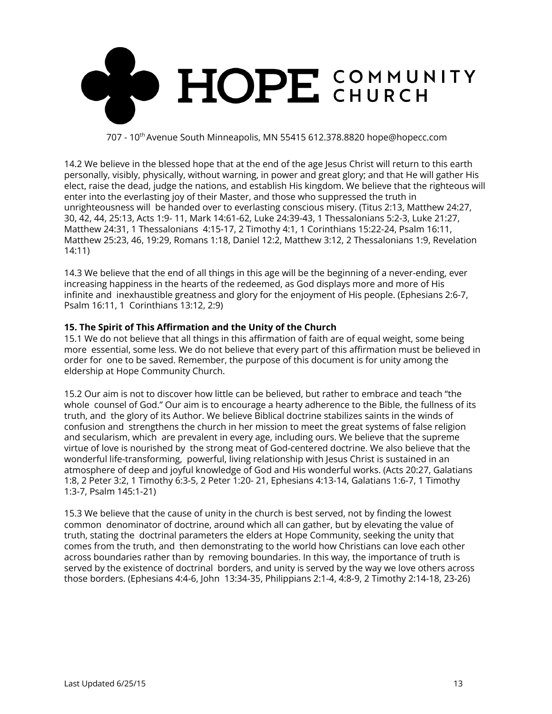

14.2 We believe in the blessed hope that at the end of the age Jesus Christ will return to this earth personally, visibly, physically, without warning, in power and great glory; and that He will gather His elect, raise the dead, judge the nations, and establish His kingdom. We believe that the righteous will enter into the everlasting joy of their Master, and those who suppressed the truth in unrighteousness will be handed over to everlasting conscious misery. (Titus 2:13, Matthew 24:27, 30, 42, 44, 25:13, Acts 1:9- 11, Mark 14:61-62, Luke 24:39-43, 1 Thessalonians 5:2-3, Luke 21:27, Matthew 24:31, 1 Thessalonians 4:15-17, 2 Timothy 4:1, 1 Corinthians 15:22-24, Psalm 16:11, Matthew 25:23, 46, 19:29, Romans 1:18, Daniel 12:2, Matthew 3:12, 2 Thessalonians 1:9, Revelation 14:11)

14.3 We believe that the end of all things in this age will be the beginning of a never-ending, ever increasing happiness in the hearts of the redeemed, as God displays more and more of His infinite and inexhaustible greatness and glory for the enjoyment of His people. (Ephesians 2:6-7, Psalm 16:11, 1 Corinthians 13:12, 2:9)

#### **15. The Spirit of This Affirmation and the Unity of the Church**

15.1 We do not believe that all things in this affirmation of faith are of equal weight, some being more essential, some less. We do not believe that every part of this affirmation must be believed in order for one to be saved. Remember, the purpose of this document is for unity among the eldership at Hope Community Church.

15.2 Our aim is not to discover how little can be believed, but rather to embrace and teach "the whole counsel of God." Our aim is to encourage a hearty adherence to the Bible, the fullness of its truth, and the glory of its Author. We believe Biblical doctrine stabilizes saints in the winds of confusion and strengthens the church in her mission to meet the great systems of false religion and secularism, which are prevalent in every age, including ours. We believe that the supreme virtue of love is nourished by the strong meat of God-centered doctrine. We also believe that the wonderful life-transforming, powerful, living relationship with Jesus Christ is sustained in an atmosphere of deep and joyful knowledge of God and His wonderful works. (Acts 20:27, Galatians 1:8, 2 Peter 3:2, 1 Timothy 6:3-5, 2 Peter 1:20- 21, Ephesians 4:13-14, Galatians 1:6-7, 1 Timothy 1:3-7, Psalm 145:1-21)

15.3 We believe that the cause of unity in the church is best served, not by finding the lowest common denominator of doctrine, around which all can gather, but by elevating the value of truth, stating the doctrinal parameters the elders at Hope Community, seeking the unity that comes from the truth, and then demonstrating to the world how Christians can love each other across boundaries rather than by removing boundaries. In this way, the importance of truth is served by the existence of doctrinal borders, and unity is served by the way we love others across those borders. (Ephesians 4:4-6, John 13:34-35, Philippians 2:1-4, 4:8-9, 2 Timothy 2:14-18, 23-26)